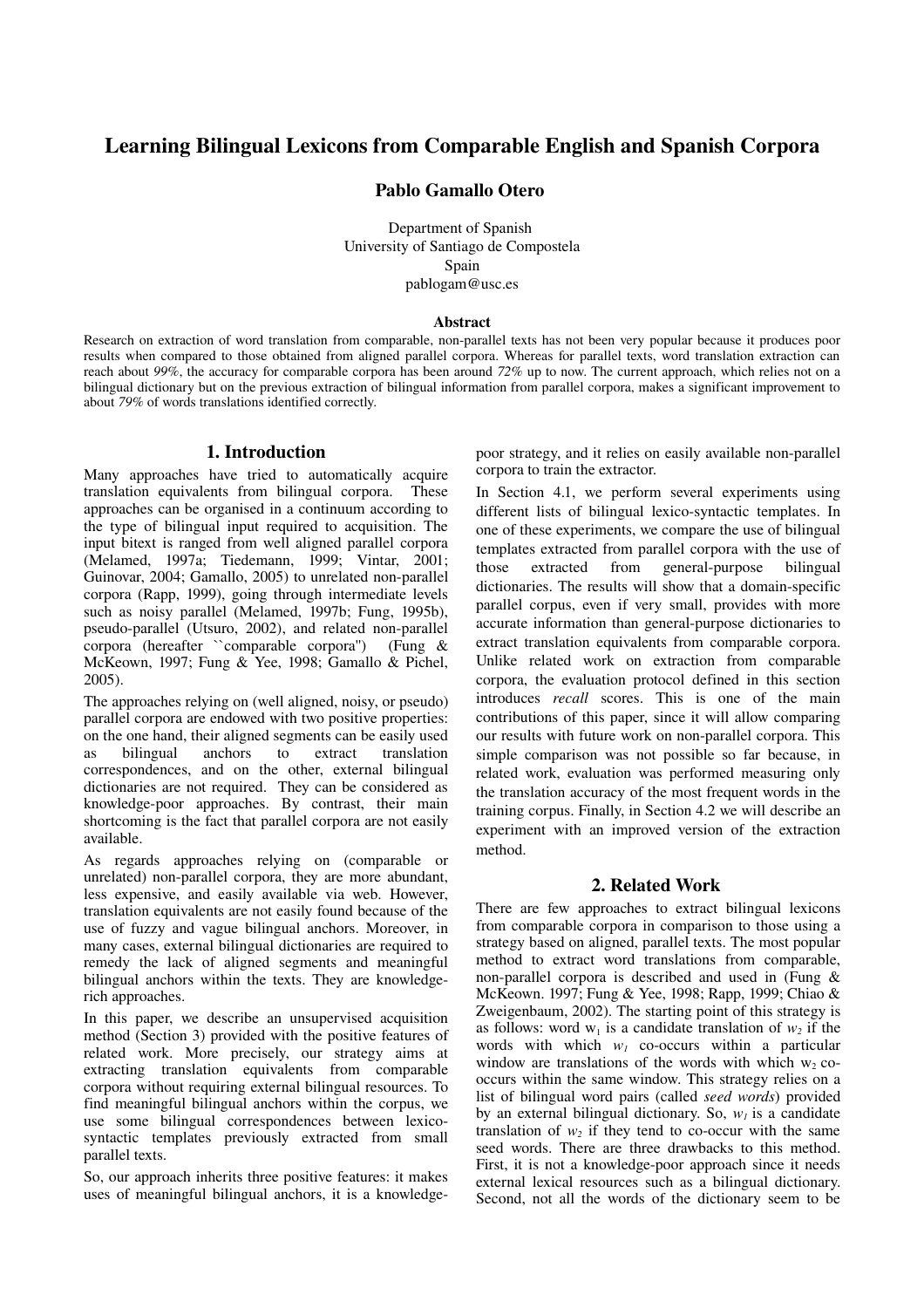# Learning Bilingual Lexicons from Comparable English and Spanish Corpora

## Pablo Gamallo Otero

Department of Spanish University of Santiago de Compostela Spain pablogam@usc.es

#### Abstract

Research on extraction of word translation from comparable, non-parallel texts has not been very popular because it produces poor results when compared to those obtained from aligned parallel corpora. Whereas for parallel texts, word translation extraction can reach about *99%*, the accuracy for comparable corpora has been around *72%* up to now. The current approach, which relies not on a bilingual dictionary but on the previous extraction of bilingual information from parallel corpora, makes a significant improvement to about *79%* of words translations identified correctly.

### 1. Introduction

Many approaches have tried to automatically acquire translation equivalents from bilingual corpora. These approaches can be organised in a continuum according to the type of bilingual input required to acquisition. The input bitext is ranged from well aligned parallel corpora (Melamed, 1997a; Tiedemann, 1999; Vintar, 2001; Guinovar, 2004; Gamallo, 2005) to unrelated non-parallel corpora (Rapp, 1999), going through intermediate levels such as noisy parallel (Melamed, 1997b; Fung, 1995b), pseudo-parallel (Utsuro, 2002), and related non-parallel corpora (hereafter ``comparable corpora'') (Fung & McKeown, 1997; Fung & Yee, 1998; Gamallo & Pichel, 2005).

The approaches relying on (well aligned, noisy, or pseudo) parallel corpora are endowed with two positive properties: on the one hand, their aligned segments can be easily used as bilingual anchors to extract translation correspondences, and on the other, external bilingual dictionaries are not required. They can be considered as knowledge-poor approaches. By contrast, their main shortcoming is the fact that parallel corpora are not easily available.

As regards approaches relying on (comparable or unrelated) non-parallel corpora, they are more abundant, less expensive, and easily available via web. However, translation equivalents are not easily found because of the use of fuzzy and vague bilingual anchors. Moreover, in many cases, external bilingual dictionaries are required to remedy the lack of aligned segments and meaningful bilingual anchors within the texts. They are knowledgerich approaches.

In this paper, we describe an unsupervised acquisition method (Section 3) provided with the positive features of related work. More precisely, our strategy aims at extracting translation equivalents from comparable corpora without requiring external bilingual resources. To find meaningful bilingual anchors within the corpus, we use some bilingual correspondences between lexicosyntactic templates previously extracted from small parallel texts.

So, our approach inherits three positive features: it makes uses of meaningful bilingual anchors, it is a knowledgepoor strategy, and it relies on easily available non-parallel corpora to train the extractor.

In Section 4.1, we perform several experiments using different lists of bilingual lexico-syntactic templates. In one of these experiments, we compare the use of bilingual templates extracted from parallel corpora with the use of those extracted from general-purpose bilingual dictionaries. The results will show that a domain-specific parallel corpus, even if very small, provides with more accurate information than general-purpose dictionaries to extract translation equivalents from comparable corpora. Unlike related work on extraction from comparable corpora, the evaluation protocol defined in this section introduces *recall* scores. This is one of the main contributions of this paper, since it will allow comparing our results with future work on non-parallel corpora. This simple comparison was not possible so far because, in related work, evaluation was performed measuring only the translation accuracy of the most frequent words in the training corpus. Finally, in Section 4.2 we will describe an experiment with an improved version of the extraction method.

### 2. Related Work

There are few approaches to extract bilingual lexicons from comparable corpora in comparison to those using a strategy based on aligned, parallel texts. The most popular method to extract word translations from comparable, non-parallel corpora is described and used in (Fung  $\&$ McKeown. 1997; Fung & Yee, 1998; Rapp, 1999; Chiao & Zweigenbaum, 2002). The starting point of this strategy is as follows: word  $w_1$  is a candidate translation of  $w_2$  if the words with which  $w_1$  co-occurs within a particular window are translations of the words with which  $w_2$  cooccurs within the same window. This strategy relies on a list of bilingual word pairs (called *seed words*) provided by an external bilingual dictionary. So,  $w<sub>I</sub>$  is a candidate translation of  $w_2$  if they tend to co-occur with the same seed words. There are three drawbacks to this method. First, it is not a knowledge-poor approach since it needs external lexical resources such as a bilingual dictionary. Second, not all the words of the dictionary seem to be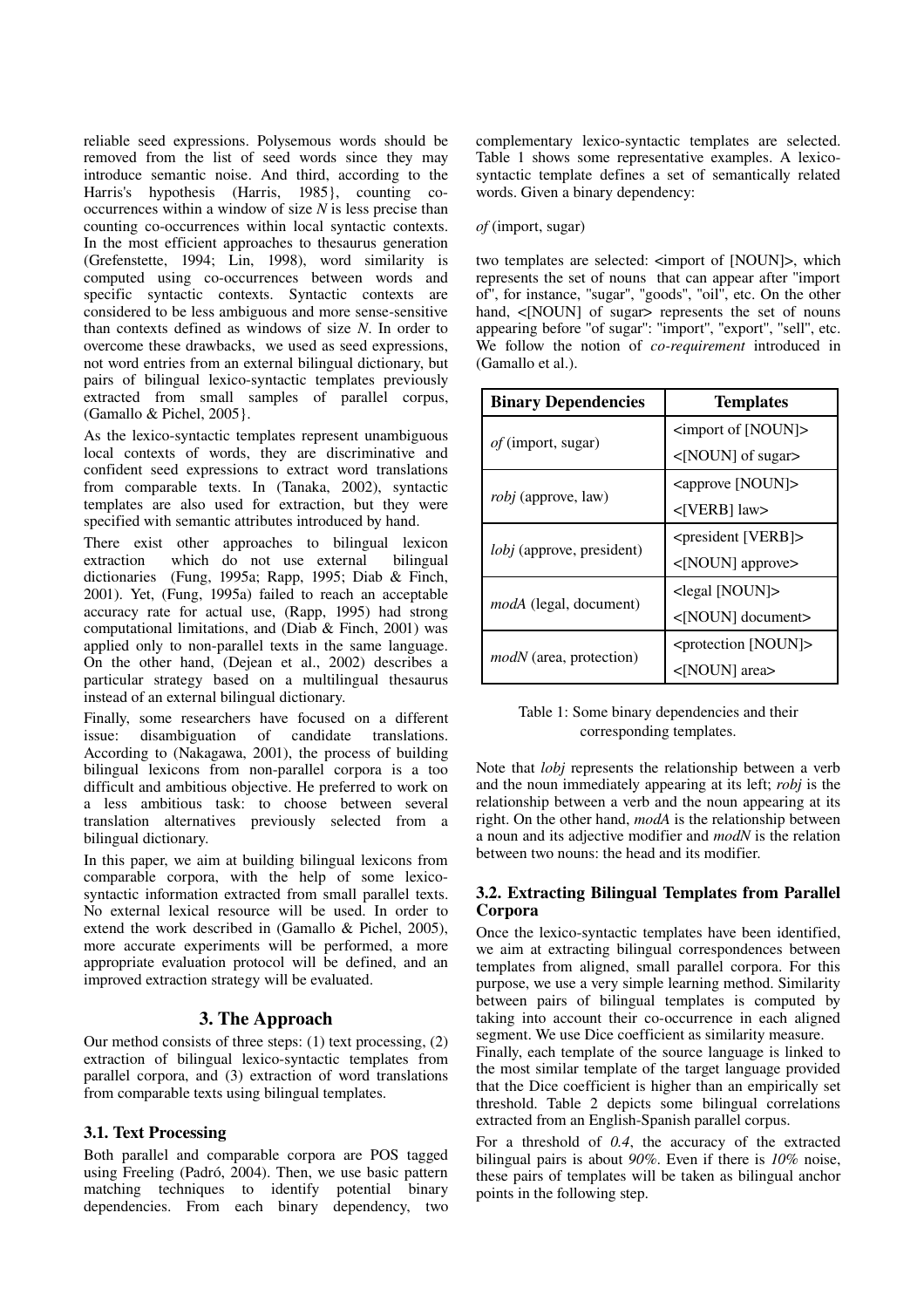reliable seed expressions. Polysemous words should be removed from the list of seed words since they may introduce semantic noise. And third, according to the Harris's hypothesis (Harris, 1985}, counting cooccurrences within a window of size *N* is less precise than counting co-occurrences within local syntactic contexts. In the most efficient approaches to thesaurus generation (Grefenstette, 1994; Lin, 1998), word similarity is computed using co-occurrences between words and specific syntactic contexts. Syntactic contexts are considered to be less ambiguous and more sense-sensitive than contexts defined as windows of size *N*. In order to overcome these drawbacks, we used as seed expressions, not word entries from an external bilingual dictionary, but pairs of bilingual lexico-syntactic templates previously extracted from small samples of parallel corpus, (Gamallo & Pichel, 2005}.

As the lexico-syntactic templates represent unambiguous local contexts of words, they are discriminative and confident seed expressions to extract word translations from comparable texts. In (Tanaka, 2002), syntactic templates are also used for extraction, but they were specified with semantic attributes introduced by hand.

There exist other approaches to bilingual lexicon extraction which do not use external bilingual dictionaries (Fung, 1995a; Rapp, 1995; Diab & Finch, 2001). Yet, (Fung, 1995a) failed to reach an acceptable accuracy rate for actual use, (Rapp, 1995) had strong computational limitations, and (Diab & Finch, 2001) was applied only to non-parallel texts in the same language. On the other hand, (Dejean et al., 2002) describes a particular strategy based on a multilingual thesaurus instead of an external bilingual dictionary.

Finally, some researchers have focused on a different issue: disambiguation of candidate translations. According to (Nakagawa, 2001), the process of building bilingual lexicons from non-parallel corpora is a too difficult and ambitious objective. He preferred to work on a less ambitious task: to choose between several translation alternatives previously selected from a bilingual dictionary.

In this paper, we aim at building bilingual lexicons from comparable corpora, with the help of some lexicosyntactic information extracted from small parallel texts. No external lexical resource will be used. In order to extend the work described in (Gamallo & Pichel, 2005), more accurate experiments will be performed, a more appropriate evaluation protocol will be defined, and an improved extraction strategy will be evaluated.

## 3. The Approach

Our method consists of three steps: (1) text processing, (2) extraction of bilingual lexico-syntactic templates from parallel corpora, and (3) extraction of word translations from comparable texts using bilingual templates.

## 3.1. Text Processing

Both parallel and comparable corpora are POS tagged using Freeling (Padró, 2004). Then, we use basic pattern matching techniques to identify potential binary dependencies. From each binary dependency, two

complementary lexico-syntactic templates are selected. Table 1 shows some representative examples. A lexicosyntactic template defines a set of semantically related words. Given a binary dependency:

#### *of* (import, sugar)

two templates are selected:  $\langle$  import of [NOUN]>, which represents the set of nouns that can appear after ''import of'', for instance, ''sugar'', ''goods'', ''oil'', etc. On the other hand, <[NOUN] of sugar> represents the set of nouns appearing before "of sugar": "import", "export", "sell", etc. We follow the notion of *co-requirement* introduced in (Gamallo et al.).

| <b>Binary Dependencies</b>    | <b>Templates</b>                               |  |
|-------------------------------|------------------------------------------------|--|
| <i>of</i> (import, sugar)     | $\langle$ import of [NOUN] $>$                 |  |
|                               | <[NOUN] of sugar>                              |  |
| <i>robj</i> (approve, law)    | <approve [noun]=""></approve>                  |  |
|                               | $<$ [VERB] law>                                |  |
| lobj (approve, president)     | <president [verb]=""></president>              |  |
|                               | $<$ [NOUN] approve>                            |  |
| <i>modA</i> (legal, document) | $\le$ legal [NOUN]>                            |  |
|                               | <[NOUN] document>                              |  |
| modN (area, protection)       | $\epsilon$ <protection [noun]=""></protection> |  |
|                               | OUN] area>                                     |  |

Table 1: Some binary dependencies and their corresponding templates.

Note that *lobj* represents the relationship between a verb and the noun immediately appearing at its left; *robj* is the relationship between a verb and the noun appearing at its right. On the other hand, *modA* is the relationship between a noun and its adjective modifier and *modN* is the relation between two nouns: the head and its modifier.

### 3.2. Extracting Bilingual Templates from Parallel Corpora

Once the lexico-syntactic templates have been identified, we aim at extracting bilingual correspondences between templates from aligned, small parallel corpora. For this purpose, we use a very simple learning method. Similarity between pairs of bilingual templates is computed by taking into account their co-occurrence in each aligned segment. We use Dice coefficient as similarity measure.

Finally, each template of the source language is linked to the most similar template of the target language provided that the Dice coefficient is higher than an empirically set threshold. Table 2 depicts some bilingual correlations extracted from an English-Spanish parallel corpus.

For a threshold of *0.4*, the accuracy of the extracted bilingual pairs is about *90%*. Even if there is *10%* noise, these pairs of templates will be taken as bilingual anchor points in the following step.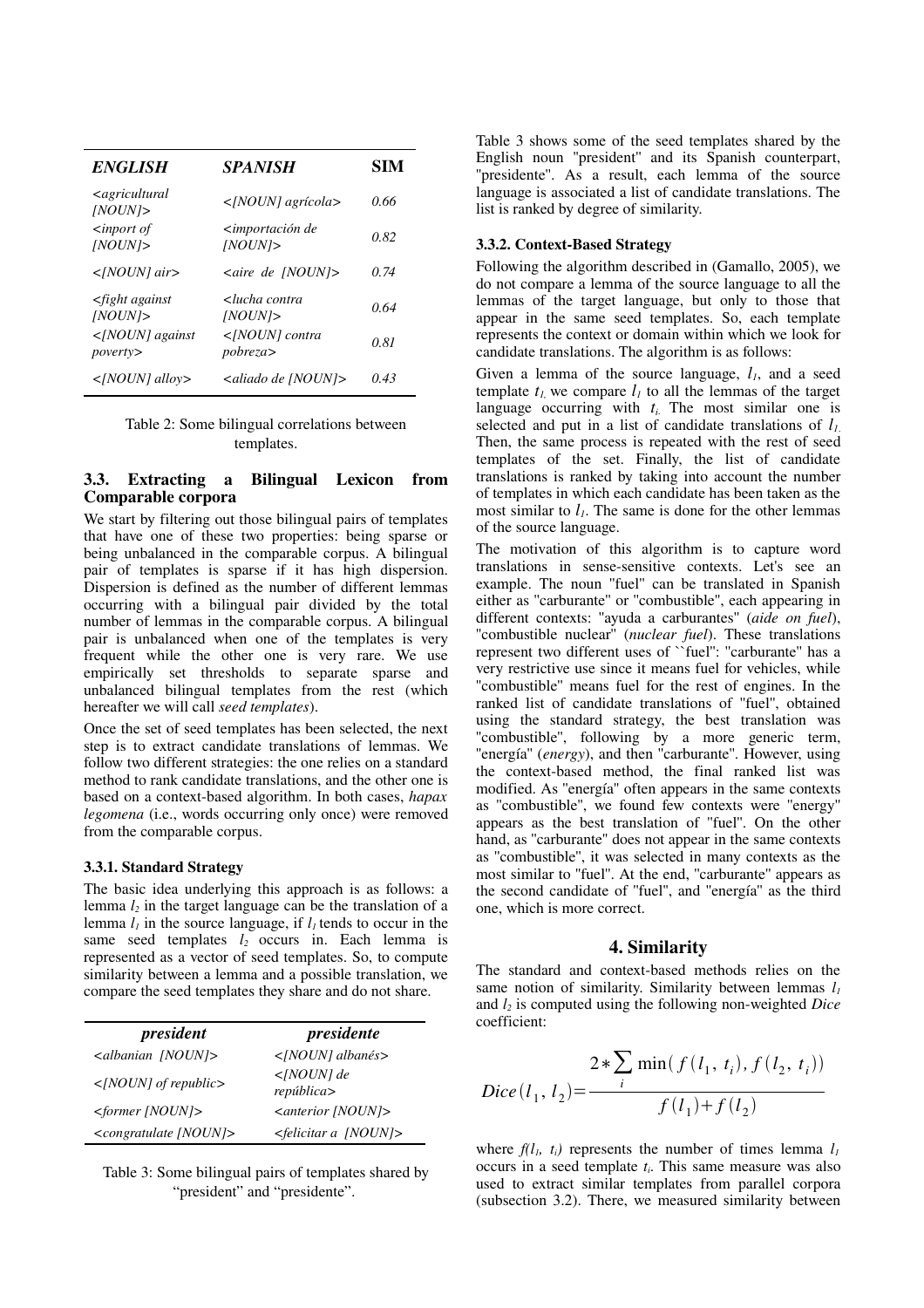| <b>ENGLISH</b>                            | <i><b>SPANISH</b></i>                                          | <b>SIM</b> |
|-------------------------------------------|----------------------------------------------------------------|------------|
| <agricultural<br>INOUN</agricultural<br>  | $\leq [NOUN]$ agrícola>                                        | 0.66       |
| $\langle$ inport of<br>INOUN              | <i><b><importación b="" de<=""></importación></b></i><br>INOUN | 0.82       |
| $\langle NOUN $ air>                      | $\langle$ aire de [NOUN] $\rangle$                             | 0.74       |
| $\leq$ fight against<br>INOUN             | <lucha contra<br="">INOUN</lucha>                              | 0.64       |
| $\langle NOUN\rangle$ against<br>poverty> | pobreza                                                        | 0.81       |
| $\langle$ [NOUN] alloy>                   | <aliado [noun]="" de=""></aliado>                              | 0.43       |

Table 2: Some bilingual correlations between templates.

## 3.3. Extracting a Bilingual Lexicon from Comparable corpora

We start by filtering out those bilingual pairs of templates that have one of these two properties: being sparse or being unbalanced in the comparable corpus. A bilingual pair of templates is sparse if it has high dispersion. Dispersion is defined as the number of different lemmas occurring with a bilingual pair divided by the total number of lemmas in the comparable corpus. A bilingual pair is unbalanced when one of the templates is very frequent while the other one is very rare. We use empirically set thresholds to separate sparse and unbalanced bilingual templates from the rest (which hereafter we will call *seed templates*).

Once the set of seed templates has been selected, the next step is to extract candidate translations of lemmas. We follow two different strategies: the one relies on a standard method to rank candidate translations, and the other one is based on a context-based algorithm. In both cases, *hapax legomena* (i.e., words occurring only once) were removed from the comparable corpus.

#### 3.3.1. Standard Strategy

The basic idea underlying this approach is as follows: a lemma *l<sup>2</sup>* in the target language can be the translation of a lemma  $l_l$  in the source language, if  $l_l$  tends to occur in the same seed templates  $l_2$  occurs in. Each lemma is represented as a vector of seed templates. So, to compute similarity between a lemma and a possible translation, we compare the seed templates they share and do not share.

| president                               | presidente                      |
|-----------------------------------------|---------------------------------|
| $\langle$ albanian [NOUN]>              | $\langle NOUN\rangle$ albanés>  |
| $\leq$ [NOUN] of republic>              | $<$ [NOUN] de<br>república      |
| $\leq$ former [NOUN] $>$                | <anterior [noun]=""></anterior> |
| <congratulate [noun]=""></congratulate> | $\leq$ felicitar a [NOUN]>      |

Table 3: Some bilingual pairs of templates shared by "president" and "presidente".

Table 3 shows some of the seed templates shared by the English noun ''president'' and its Spanish counterpart, "presidente". As a result, each lemma of the source language is associated a list of candidate translations. The list is ranked by degree of similarity.

#### 3.3.2. Context-Based Strategy

Following the algorithm described in (Gamallo, 2005), we do not compare a lemma of the source language to all the lemmas of the target language, but only to those that appear in the same seed templates. So, each template represents the context or domain within which we look for candidate translations. The algorithm is as follows:

Given a lemma of the source language, *l1*, and a seed template  $t_l$ , we compare  $l_l$  to all the lemmas of the target language occurring with  $t_i$ . The most similar one is selected and put in a list of candidate translations of *l1*. Then, the same process is repeated with the rest of seed templates of the set. Finally, the list of candidate translations is ranked by taking into account the number of templates in which each candidate has been taken as the most similar to  $l_1$ . The same is done for the other lemmas of the source language.

The motivation of this algorithm is to capture word translations in sense-sensitive contexts. Let's see an example. The noun ''fuel'' can be translated in Spanish either as ''carburante'' or ''combustible'', each appearing in different contexts: ''ayuda a carburantes'' (*aide on fuel*), "combustible nuclear" (*nuclear fuel*). These translations represent two different uses of ``fuel'': ''carburante'' has a very restrictive use since it means fuel for vehicles, while ''combustible'' means fuel for the rest of engines. In the ranked list of candidate translations of ''fuel'', obtained using the standard strategy, the best translation was "combustible", following by a more generic term, "energía" (*energy*), and then "carburante". However, using the context-based method, the final ranked list was modified. As ''energía'' often appears in the same contexts as ''combustible'', we found few contexts were ''energy'' appears as the best translation of ''fuel''. On the other hand, as ''carburante'' does not appear in the same contexts as ''combustible'', it was selected in many contexts as the most similar to ''fuel''. At the end, ''carburante'' appears as the second candidate of ''fuel'', and ''energía'' as the third one, which is more correct.

### 4. Similarity

The standard and context-based methods relies on the same notion of similarity. Similarity between lemmas *l<sup>1</sup>* and *l<sup>2</sup>* is computed using the following nonweighted *Dice* coefficient:

$$
Dice(l_1, l_2) = \frac{2 * \sum_{i} \min(f(l_1, t_i), f(l_2, t_i))}{f(l_1) + f(l_2)}
$$

where  $f(l_i, t_i)$  represents the number of times lemma  $l_i$ occurs in a seed template *ti*. This same measure was also used to extract similar templates from parallel corpora (subsection 3.2). There, we measured similarity between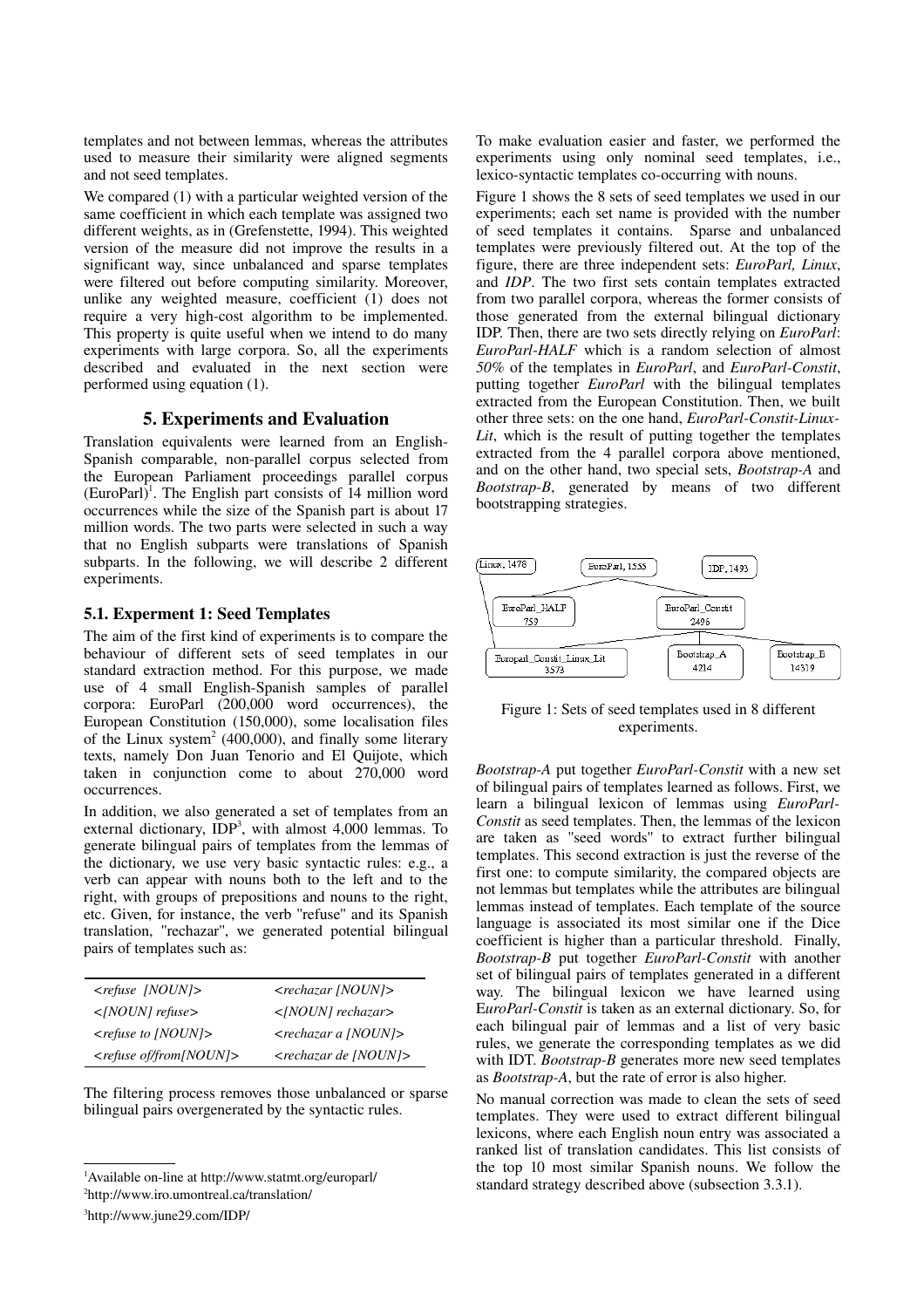templates and not between lemmas, whereas the attributes used to measure their similarity were aligned segments and not seed templates.

We compared (1) with a particular weighted version of the same coefficient in which each template was assigned two different weights, as in (Grefenstette, 1994). This weighted version of the measure did not improve the results in a significant way, since unbalanced and sparse templates were filtered out before computing similarity. Moreover, unlike any weighted measure, coefficient (1) does not require a very high-cost algorithm to be implemented. This property is quite useful when we intend to do many experiments with large corpora. So, all the experiments described and evaluated in the next section were performed using equation (1).

## 5. Experiments and Evaluation

Translation equivalents were learned from an English-Spanish comparable, non-parallel corpus selected from the European Parliament proceedings parallel corpus  $(EuroPart)^1$  $(EuroPart)^1$ . The English part consists of 14 million word occurrences while the size of the Spanish part is about 17 million words. The two parts were selected in such a way that no English subparts were translations of Spanish subparts. In the following, we will describe 2 different experiments.

### 5.1. Experment 1: Seed Templates

The aim of the first kind of experiments is to compare the behaviour of different sets of seed templates in our standard extraction method. For this purpose, we made use of 4 small English-Spanish samples of parallel corpora: EuroParl (200,000 word occurrences), the European Constitution (150,000), some localisation files of the Linux system [2](#page-3-1) (400,000), and finally some literary texts, namely Don Juan Tenorio and El Quijote, which taken in conjunction come to about 270,000 word occurrences.

In addition, we also generated a set of templates from an external dictionary,  $IDP<sup>3</sup>$  $IDP<sup>3</sup>$  $IDP<sup>3</sup>$ , with almost 4,000 lemmas. To generate bilingual pairs of templates from the lemmas of the dictionary, we use very basic syntactic rules: e.g., a verb can appear with nouns both to the left and to the right, with groups of prepositions and nouns to the right, etc. Given, for instance, the verb ''refuse'' and its Spanish translation, ''rechazar'', we generated potential bilingual pairs of templates such as:

| $\langle$ refuse [NOUN] $\rangle$        | $<$ rechazar [NOUN] $>$                |
|------------------------------------------|----------------------------------------|
| $\langle$ [NOUN] refuse>                 | $\leq [NOUN]$ rechazar>                |
| $\langle$ refuse to [NOUN] $\rangle$     | <rechazar [noun]="" a=""></rechazar>   |
| $\langle$ refuse of/from[NOUN] $\rangle$ | $\langle$ rechazar de [NOUN] $\rangle$ |

The filtering process removes those unbalanced or sparse bilingual pairs overgenerated by the syntactic rules.

To make evaluation easier and faster, we performed the experiments using only nominal seed templates, i.e., lexico-syntactic templates co-occurring with nouns.

Figure 1 shows the 8 sets of seed templates we used in our experiments; each set name is provided with the number of seed templates it contains. Sparse and unbalanced templates were previously filtered out. At the top of the figure, there are three independent sets: *EuroParl, Linux*, and *IDP*. The two first sets contain templates extracted from two parallel corpora, whereas the former consists of those generated from the external bilingual dictionary IDP. Then, there are two sets directly relying on *EuroParl*: *EuroParlHALF* which is a random selection of almost *50%* of the templates in *EuroParl*, and *EuroParl-Constit*, putting together *EuroParl* with the bilingual templates extracted from the European Constitution. Then, we built other three sets: on the one hand, *EuroParl-Constit-Linux-Lit*, which is the result of putting together the templates extracted from the 4 parallel corpora above mentioned, and on the other hand, two special sets, *Bootstrap-A* and *BootstrapB*, generated by means of two different bootstrapping strategies.



Figure 1: Sets of seed templates used in 8 different experiments.

*Bootstrap-A* put together *EuroParl-Constit* with a new set of bilingual pairs of templates learned as follows. First, we learn a bilingual lexicon of lemmas using *EuroParl-Constit* as seed templates. Then, the lemmas of the lexicon are taken as ''seed words'' to extract further bilingual templates. This second extraction is just the reverse of the first one: to compute similarity, the compared objects are not lemmas but templates while the attributes are bilingual lemmas instead of templates. Each template of the source language is associated its most similar one if the Dice coefficient is higher than a particular threshold. Finally, *Bootstrap-B* put together *EuroParl-Constit* with another set of bilingual pairs of templates generated in a different way. The bilingual lexicon we have learned using EuroParl-Constit is taken as an external dictionary. So, for each bilingual pair of lemmas and a list of very basic rules, we generate the corresponding templates as we did with IDT. *Bootstrap-B* generates more new seed templates as *Bootstrap-A*, but the rate of error is also higher.

No manual correction was made to clean the sets of seed templates. They were used to extract different bilingual lexicons, where each English noun entry was associated a ranked list of translation candidates. This list consists of the top 10 most similar Spanish nouns. We follow the standard strategy described above (subsection 3.3.1).

<span id="page-3-0"></span><sup>&</sup>lt;sup>1</sup>Available on-line at http://www.statmt.org/europarl/

<span id="page-3-1"></span><sup>2</sup> http://www.iro.umontreal.ca/translation/

<span id="page-3-2"></span><sup>3</sup> http://www.june29.com/IDP/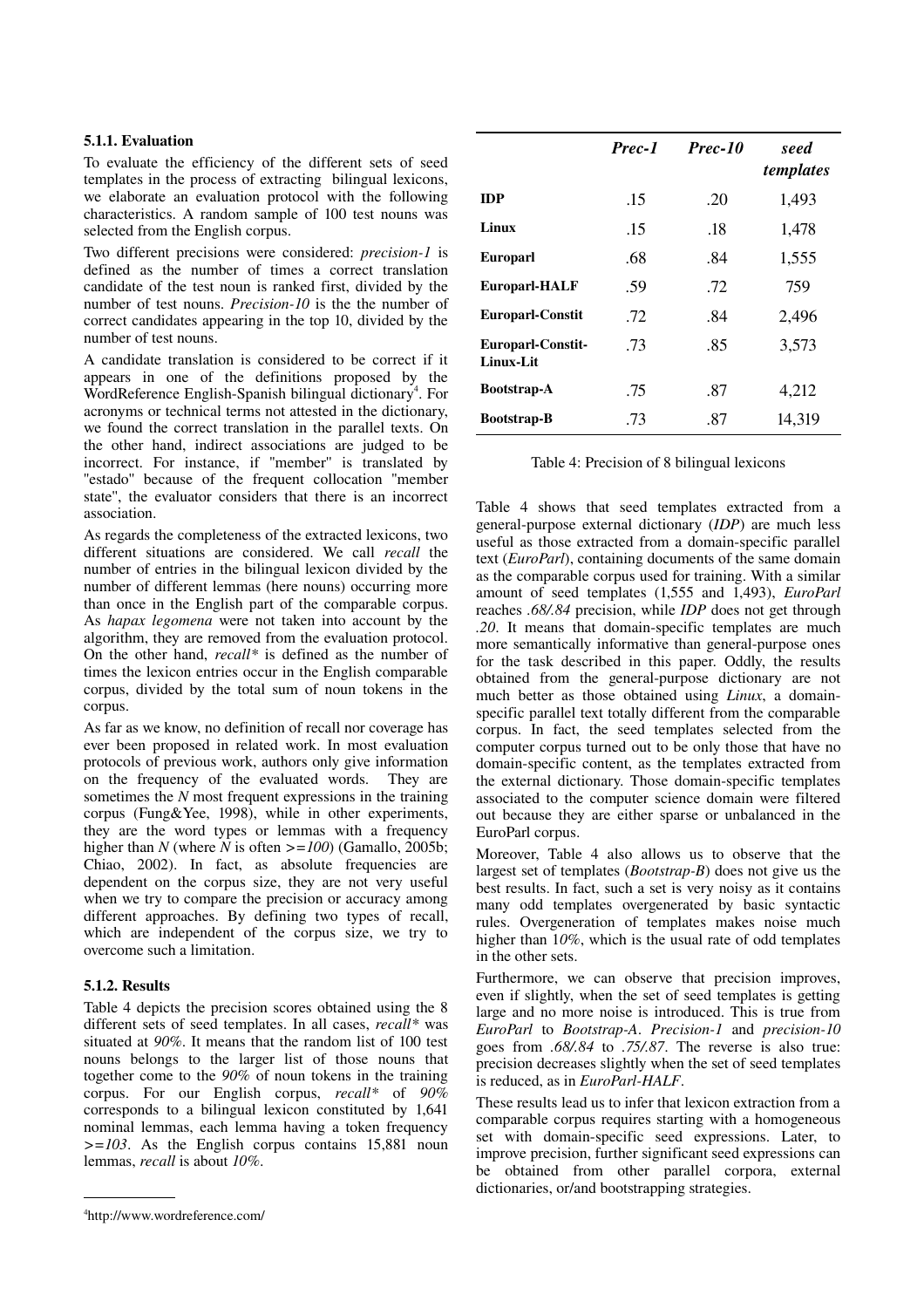### 5.1.1. Evaluation

To evaluate the efficiency of the different sets of seed templates in the process of extracting bilingual lexicons, we elaborate an evaluation protocol with the following characteristics. A random sample of 100 test nouns was selected from the English corpus.

Two different precisions were considered: *precision-1* is defined as the number of times a correct translation candidate of the test noun is ranked first, divided by the number of test nouns. *Precision-10* is the the number of correct candidates appearing in the top 10, divided by the number of test nouns.

A candidate translation is considered to be correct if it appears in one of the definitions proposed by the WordReference English-Spanish bilingual dictionary<sup>[4](#page-4-0)</sup>. For acronyms or technical terms not attested in the dictionary, we found the correct translation in the parallel texts. On the other hand, indirect associations are judged to be incorrect. For instance, if ''member'' is translated by "estado" because of the frequent collocation "member" state'', the evaluator considers that there is an incorrect association.

As regards the completeness of the extracted lexicons, two different situations are considered. We call *recall* the number of entries in the bilingual lexicon divided by the number of different lemmas (here nouns) occurring more than once in the English part of the comparable corpus. As *hapax legomena* were not taken into account by the algorithm, they are removed from the evaluation protocol. On the other hand, *recall\** is defined as the number of times the lexicon entries occur in the English comparable corpus, divided by the total sum of noun tokens in the corpus.

As far as we know, no definition of recall nor coverage has ever been proposed in related work. In most evaluation protocols of previous work, authors only give information on the frequency of the evaluated words. They are sometimes the *N* most frequent expressions in the training corpus (Fung&Yee, 1998), while in other experiments, they are the word types or lemmas with a frequency higher than *N* (where  $\overline{N}$  is often  $\geq$ =100) (Gamallo, 2005b; Chiao, 2002). In fact, as absolute frequencies are dependent on the corpus size, they are not very useful when we try to compare the precision or accuracy among different approaches. By defining two types of recall, which are independent of the corpus size, we try to overcome such a limitation.

#### 5.1.2. Results

Table 4 depicts the precision scores obtained using the 8 different sets of seed templates. In all cases, *recall\** was situated at *90%*. It means that the random list of 100 test nouns belongs to the larger list of those nouns that together come to the *90%* of noun tokens in the training corpus. For our English corpus, *recall\** of *90%* corresponds to a bilingual lexicon constituted by 1,641 nominal lemmas, each lemma having a token frequency *>=103*. As the English corpus contains 15,881 noun lemmas, *recall* is about *10%*.

|                                       | Prec-1 | Prec-10 | seed<br>templates |
|---------------------------------------|--------|---------|-------------------|
| <b>IDP</b>                            | .15    | .20     | 1,493             |
| Linux                                 | .15    | .18     | 1,478             |
| <b>Europarl</b>                       | .68    | .84     | 1,555             |
| <b>Europarl-HALF</b>                  | .59    | .72     | 759               |
| <b>Europarl-Constit</b>               | .72    | .84     | 2,496             |
| <b>Europarl-Constit-</b><br>Linux-Lit | .73    | .85     | 3,573             |
| <b>Bootstrap-A</b>                    | .75    | .87     | 4,212             |
| <b>Bootstrap-B</b>                    | .73    | .87     | 14,319            |

Table 4: Precision of 8 bilingual lexicons

Table 4 shows that seed templates extracted from a general-purpose external dictionary (*IDP*) are much less useful as those extracted from a domain-specific parallel text (*EuroParl*), containing documents of the same domain as the comparable corpus used for training. With a similar amount of seed templates (1,555 and 1,493), *EuroParl* reaches *.68/.84* precision, while *IDP* does not get through .20. It means that domain-specific templates are much more semantically informative than general-purpose ones for the task described in this paper. Oddly, the results obtained from the general-purpose dictionary are not much better as those obtained using *Linux*, a domainspecific parallel text totally different from the comparable corpus. In fact, the seed templates selected from the computer corpus turned out to be only those that have no domain-specific content, as the templates extracted from the external dictionary. Those domain-specific templates associated to the computer science domain were filtered out because they are either sparse or unbalanced in the EuroParl corpus.

Moreover, Table 4 also allows us to observe that the largest set of templates (*Bootstrap-B*) does not give us the best results. In fact, such a set is very noisy as it contains many odd templates overgenerated by basic syntactic rules. Overgeneration of templates makes noise much higher than 1*0%*, which is the usual rate of odd templates in the other sets.

Furthermore, we can observe that precision improves, even if slightly, when the set of seed templates is getting large and no more noise is introduced. This is true from *EuroParl* to *Bootstrap-A. Precision-1* and *precision-10* goes from *.68/.84* to *.75/.87*. The reverse is also true: precision decreases slightly when the set of seed templates is reduced, as in *EuroParl-HALF*.

These results lead us to infer that lexicon extraction from a comparable corpus requires starting with a homogeneous set with domain-specific seed expressions. Later, to improve precision, further significant seed expressions can be obtained from other parallel corpora, external dictionaries, or/and bootstrapping strategies.

<span id="page-4-0"></span><sup>4</sup> http://www.wordreference.com/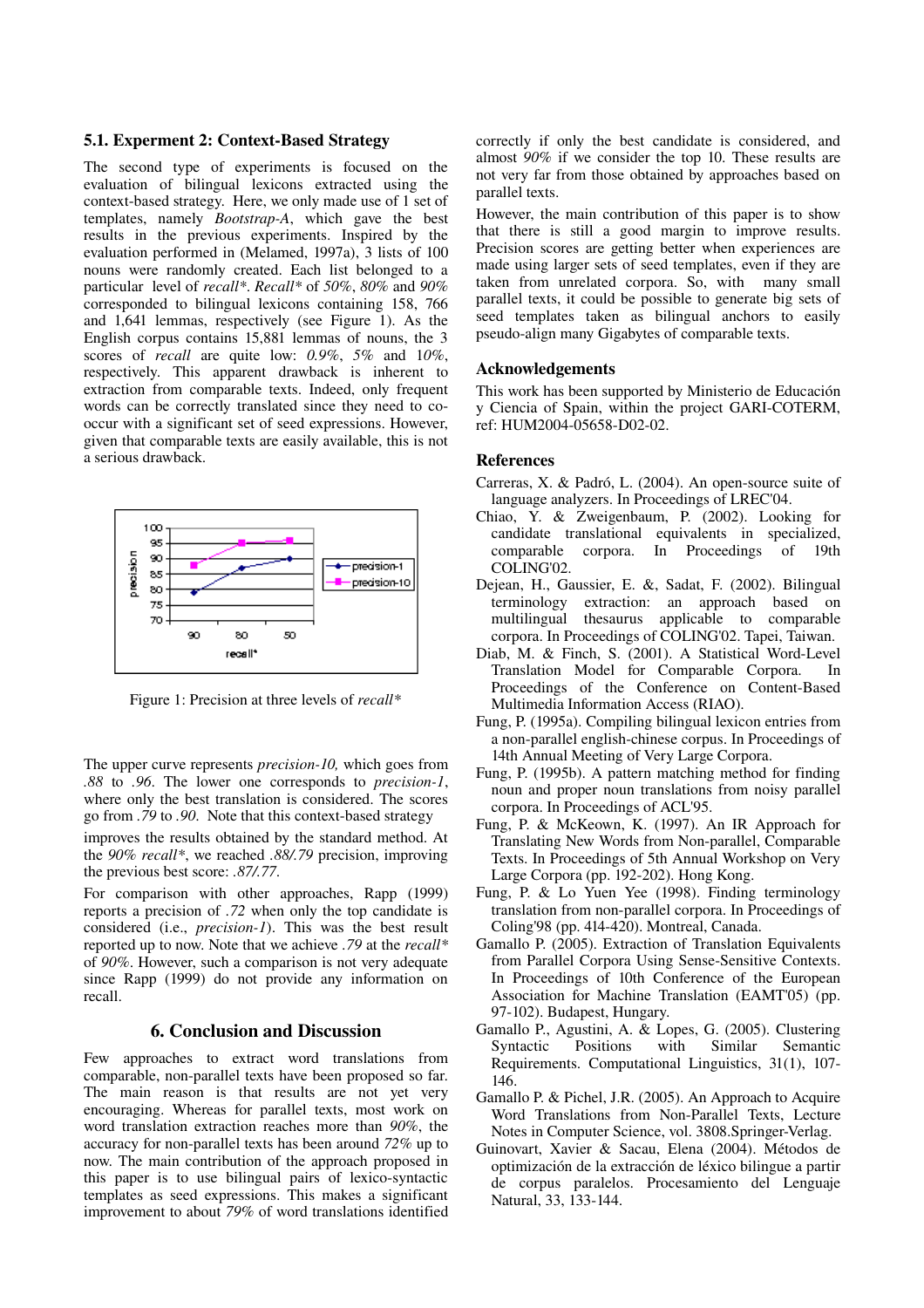#### 5.1. Experment 2: Context-Based Strategy

The second type of experiments is focused on the evaluation of bilingual lexicons extracted using the context-based strategy. Here, we only made use of  $1$  set of templates, namely *Bootstrap-A*, which gave the best results in the previous experiments. Inspired by the evaluation performed in (Melamed, 1997a), 3 lists of 100 nouns were randomly created. Each list belonged to a particular level of *recall\**. *Recall\** of *50%*, *80%* and *90%* corresponded to bilingual lexicons containing 158, 766 and 1,641 lemmas, respectively (see Figure 1). As the English corpus contains 15,881 lemmas of nouns, the 3 scores of *recall* are quite low: *0.9%*, *5%* and 1*0%*, respectively. This apparent drawback is inherent to extraction from comparable texts. Indeed, only frequent words can be correctly translated since they need to cooccur with a significant set of seed expressions. However, given that comparable texts are easily available, this is not a serious drawback.



Figure 1: Precision at three levels of *recall\**

The upper curve represents *precision-10*, which goes from *.88* to *.96*. The lower one corresponds to *precision1*, where only the best translation is considered. The scores go from *.79* to *.90*. Note that this context-based strategy

improves the results obtained by the standard method. At the *90% recall\**, we reached *.88/.79* precision, improving the previous best score: *.87/.77*.

For comparison with other approaches, Rapp (1999) reports a precision of *.72* when only the top candidate is considered (i.e., *precision-1*). This was the best result reported up to now. Note that we achieve *.79* at the *recall\** of *90%*. However, such a comparison is not very adequate since Rapp (1999) do not provide any information on recall.

## 6. Conclusion and Discussion

Few approaches to extract word translations from comparable, non-parallel texts have been proposed so far. The main reason is that results are not yet very encouraging. Whereas for parallel texts, most work on word translation extraction reaches more than *90%*, the accuracy for non-parallel texts has been around 72% up to now. The main contribution of the approach proposed in this paper is to use bilingual pairs of lexico-syntactic templates as seed expressions. This makes a significant improvement to about *79%* of word translations identified correctly if only the best candidate is considered, and almost *90%* if we consider the top 10. These results are not very far from those obtained by approaches based on parallel texts.

However, the main contribution of this paper is to show that there is still a good margin to improve results. Precision scores are getting better when experiences are made using larger sets of seed templates, even if they are taken from unrelated corpora. So, with many small parallel texts, it could be possible to generate big sets of seed templates taken as bilingual anchors to easily pseudo-align many Gigabytes of comparable texts.

#### Acknowledgements

This work has been supported by Ministerio de Educación y Ciencia of Spain, within the project GARI-COTERM, ref: HUM2004-05658-D02-02.

#### References

- Carreras, X. & Padró, L. (2004). An open-source suite of language analyzers. In Proceedings of LREC'04.
- Chiao, Y. & Zweigenbaum, P. (2002). Looking for candidate translational equivalents in specialized, comparable corpora. In Proceedings of 19th COLING'02.
- Dejean, H., Gaussier, E. &, Sadat, F. (2002). Bilingual terminology extraction: an approach based on thesaurus applicable to comparable corpora. In Proceedings of COLING'02. Tapei, Taiwan.
- Diab, M. & Finch, S. (2001). A Statistical Word-Level Translation Model for Comparable Corpora. In Proceedings of the Conference on Content-Based Multimedia Information Access (RIAO).
- Fung, P. (1995a). Compiling bilingual lexicon entries from a non-parallel english-chinese corpus. In Proceedings of 14th Annual Meeting of Very Large Corpora.
- Fung, P. (1995b). A pattern matching method for finding noun and proper noun translations from noisy parallel corpora. In Proceedings of ACL'95.
- Fung, P. & McKeown, K. (1997). An IR Approach for Translating New Words from Non-parallel, Comparable Texts. In Proceedings of 5th Annual Workshop on Very Large Corpora (pp. 192-202). Hong Kong.
- Fung, P. & Lo Yuen Yee (1998). Finding terminology translation from non-parallel corpora. In Proceedings of Coling'98 (pp. 414-420). Montreal, Canada.
- Gamallo P. (2005). Extraction of Translation Equivalents from Parallel Corpora Using Sense-Sensitive Contexts. In Proceedings of 10th Conference of the European Association for Machine Translation (EAMT'05) (pp. 97-102). Budapest, Hungary.
- Gamallo P., Agustini, A. & Lopes, G. (2005). Clustering<br>Syntactic Positions with Similar Semantic Syntactic Positions with Similar Semantic Requirements. Computational Linguistics, 31(1), 107 146.
- Gamallo P. & Pichel, J.R. (2005). An Approach to Acquire Word Translations from Non-Parallel Texts, Lecture Notes in Computer Science, vol. 3808.Springer-Verlag.
- Guinovart, Xavier & Sacau, Elena (2004). Métodos de optimización de la extracción de léxico bilingue a partir de corpus paralelos. Procesamiento del Lenguaje Natural, 33, 133-144.